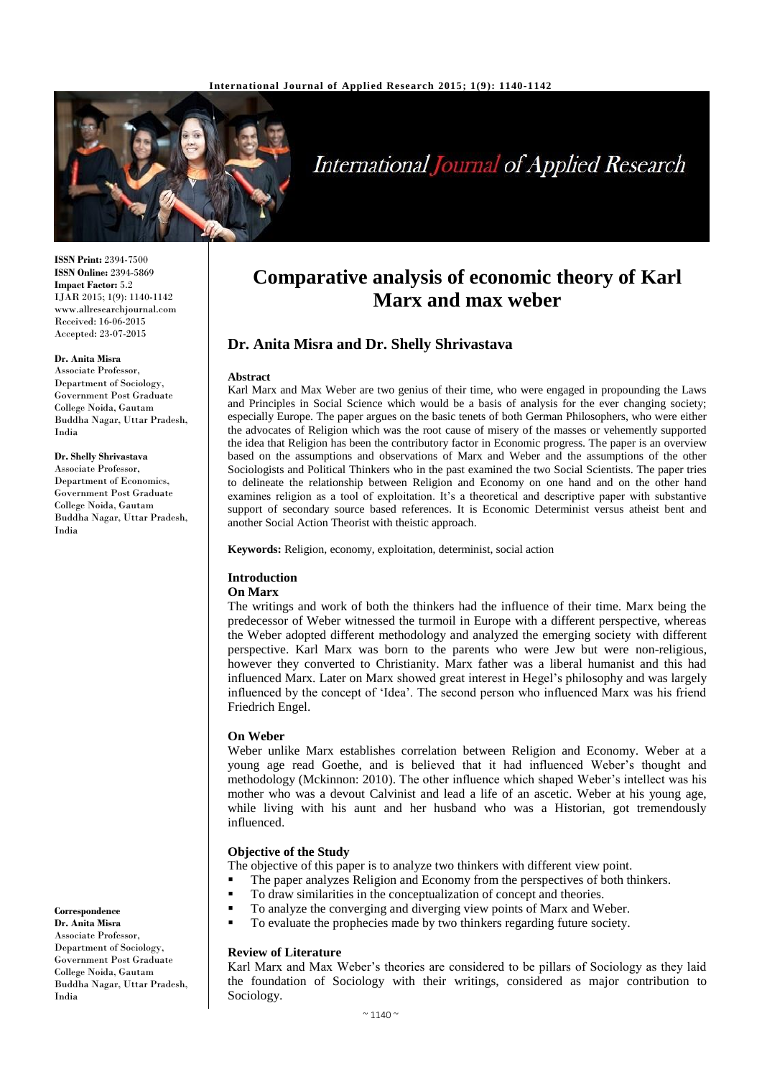

# International Journal of Applied Research

**ISSN Print:** 2394-7500 **ISSN Online:** 2394-5869 **Impact Factor:** 5.2 IJAR 2015; 1(9): 1140-1142 www.allresearchjournal.com Received: 16-06-2015 Accepted: 23-07-2015

## **Dr. Anita Misra**

Associate Professor, Department of Sociology, Government Post Graduate College Noida, Gautam Buddha Nagar, Uttar Pradesh, India

#### **Dr. Shelly Shrivastava**

Associate Professor, Department of Economics, Government Post Graduate College Noida, Gautam Buddha Nagar, Uttar Pradesh, India

**Correspondence Dr. Anita Misra** Associate Professor, Department of Sociology, Government Post Graduate College Noida, Gautam Buddha Nagar, Uttar Pradesh, India

## **Comparative analysis of economic theory of Karl Marx and max weber**

## **Dr. Anita Misra and Dr. Shelly Shrivastava**

#### **Abstract**

Karl Marx and Max Weber are two genius of their time, who were engaged in propounding the Laws and Principles in Social Science which would be a basis of analysis for the ever changing society; especially Europe. The paper argues on the basic tenets of both German Philosophers, who were either the advocates of Religion which was the root cause of misery of the masses or vehemently supported the idea that Religion has been the contributory factor in Economic progress. The paper is an overview based on the assumptions and observations of Marx and Weber and the assumptions of the other Sociologists and Political Thinkers who in the past examined the two Social Scientists. The paper tries to delineate the relationship between Religion and Economy on one hand and on the other hand examines religion as a tool of exploitation. It's a theoretical and descriptive paper with substantive support of secondary source based references. It is Economic Determinist versus atheist bent and another Social Action Theorist with theistic approach.

**Keywords:** Religion, economy, exploitation, determinist, social action

#### **Introduction**

#### **On Marx**

The writings and work of both the thinkers had the influence of their time. Marx being the predecessor of Weber witnessed the turmoil in Europe with a different perspective, whereas the Weber adopted different methodology and analyzed the emerging society with different perspective. Karl Marx was born to the parents who were Jew but were non-religious, however they converted to Christianity. Marx father was a liberal humanist and this had influenced Marx. Later on Marx showed great interest in Hegel's philosophy and was largely influenced by the concept of 'Idea'. The second person who influenced Marx was his friend Friedrich Engel.

#### **On Weber**

Weber unlike Marx establishes correlation between Religion and Economy. Weber at a young age read Goethe, and is believed that it had influenced Weber's thought and methodology (Mckinnon: 2010). The other influence which shaped Weber's intellect was his mother who was a devout Calvinist and lead a life of an ascetic. Weber at his young age, while living with his aunt and her husband who was a Historian, got tremendously influenced.

#### **Objective of the Study**

The objective of this paper is to analyze two thinkers with different view point.

- The paper analyzes Religion and Economy from the perspectives of both thinkers.
- To draw similarities in the conceptualization of concept and theories.
- To analyze the converging and diverging view points of Marx and Weber.
- To evaluate the prophecies made by two thinkers regarding future society.

#### **Review of Literature**

Karl Marx and Max Weber's theories are considered to be pillars of Sociology as they laid the foundation of Sociology with their writings, considered as major contribution to Sociology.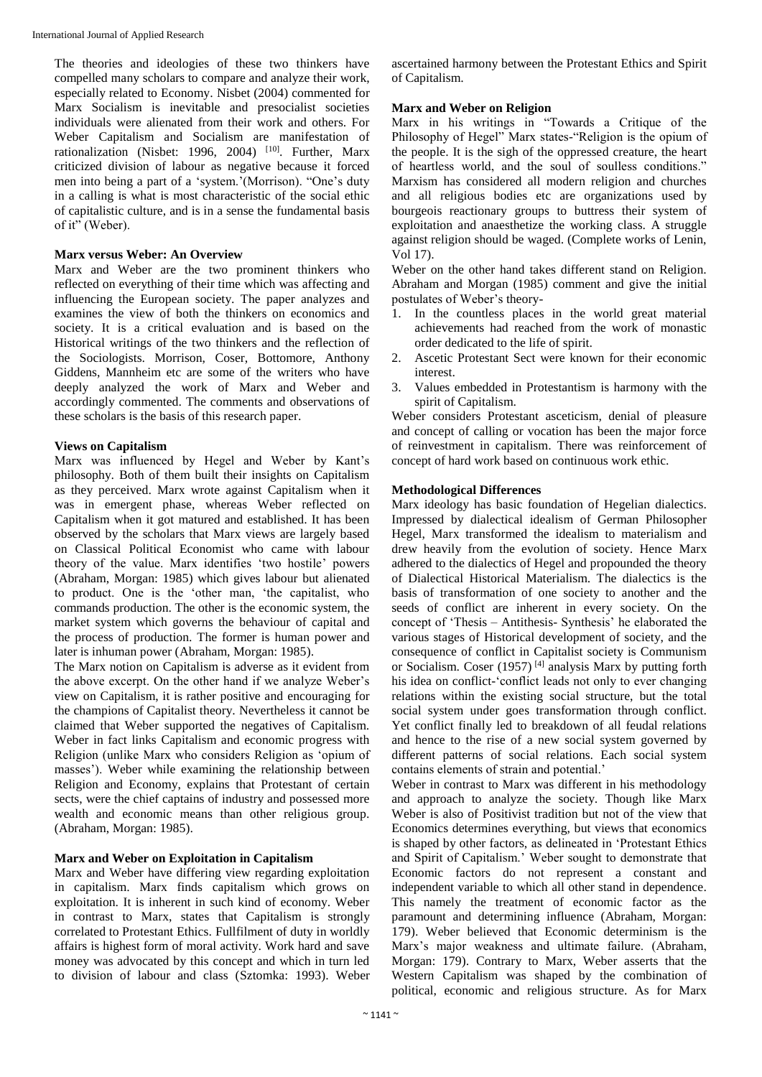The theories and ideologies of these two thinkers have compelled many scholars to compare and analyze their work, especially related to Economy. Nisbet (2004) commented for Marx Socialism is inevitable and presocialist societies individuals were alienated from their work and others. For Weber Capitalism and Socialism are manifestation of rationalization (Nisbet: 1996, 2004)<sup>[10]</sup>. Further, Marx criticized division of labour as negative because it forced men into being a part of a 'system.'(Morrison). "One's duty in a calling is what is most characteristic of the social ethic of capitalistic culture, and is in a sense the fundamental basis of it" (Weber).

## **Marx versus Weber: An Overview**

Marx and Weber are the two prominent thinkers who reflected on everything of their time which was affecting and influencing the European society. The paper analyzes and examines the view of both the thinkers on economics and society. It is a critical evaluation and is based on the Historical writings of the two thinkers and the reflection of the Sociologists. Morrison, Coser, Bottomore, Anthony Giddens, Mannheim etc are some of the writers who have deeply analyzed the work of Marx and Weber and accordingly commented. The comments and observations of these scholars is the basis of this research paper.

## **Views on Capitalism**

Marx was influenced by Hegel and Weber by Kant's philosophy. Both of them built their insights on Capitalism as they perceived. Marx wrote against Capitalism when it was in emergent phase, whereas Weber reflected on Capitalism when it got matured and established. It has been observed by the scholars that Marx views are largely based on Classical Political Economist who came with labour theory of the value. Marx identifies 'two hostile' powers (Abraham, Morgan: 1985) which gives labour but alienated to product. One is the 'other man, 'the capitalist, who commands production. The other is the economic system, the market system which governs the behaviour of capital and the process of production. The former is human power and later is inhuman power (Abraham, Morgan: 1985).

The Marx notion on Capitalism is adverse as it evident from the above excerpt. On the other hand if we analyze Weber's view on Capitalism, it is rather positive and encouraging for the champions of Capitalist theory. Nevertheless it cannot be claimed that Weber supported the negatives of Capitalism. Weber in fact links Capitalism and economic progress with Religion (unlike Marx who considers Religion as 'opium of masses'). Weber while examining the relationship between Religion and Economy, explains that Protestant of certain sects, were the chief captains of industry and possessed more wealth and economic means than other religious group. (Abraham, Morgan: 1985).

#### **Marx and Weber on Exploitation in Capitalism**

Marx and Weber have differing view regarding exploitation in capitalism. Marx finds capitalism which grows on exploitation. It is inherent in such kind of economy. Weber in contrast to Marx, states that Capitalism is strongly correlated to Protestant Ethics. Fullfilment of duty in worldly affairs is highest form of moral activity. Work hard and save money was advocated by this concept and which in turn led to division of labour and class (Sztomka: 1993). Weber ascertained harmony between the Protestant Ethics and Spirit of Capitalism.

## **Marx and Weber on Religion**

Marx in his writings in "Towards a Critique of the Philosophy of Hegel" Marx states-"Religion is the opium of the people. It is the sigh of the oppressed creature, the heart of heartless world, and the soul of soulless conditions." Marxism has considered all modern religion and churches and all religious bodies etc are organizations used by bourgeois reactionary groups to buttress their system of exploitation and anaesthetize the working class. A struggle against religion should be waged. (Complete works of Lenin, Vol 17).

Weber on the other hand takes different stand on Religion. Abraham and Morgan (1985) comment and give the initial postulates of Weber's theory-

- 1. In the countless places in the world great material achievements had reached from the work of monastic order dedicated to the life of spirit.
- 2. Ascetic Protestant Sect were known for their economic interest.
- 3. Values embedded in Protestantism is harmony with the spirit of Capitalism.

Weber considers Protestant asceticism, denial of pleasure and concept of calling or vocation has been the major force of reinvestment in capitalism. There was reinforcement of concept of hard work based on continuous work ethic.

#### **Methodological Differences**

Marx ideology has basic foundation of Hegelian dialectics. Impressed by dialectical idealism of German Philosopher Hegel, Marx transformed the idealism to materialism and drew heavily from the evolution of society. Hence Marx adhered to the dialectics of Hegel and propounded the theory of Dialectical Historical Materialism. The dialectics is the basis of transformation of one society to another and the seeds of conflict are inherent in every society. On the concept of 'Thesis – Antithesis- Synthesis' he elaborated the various stages of Historical development of society, and the consequence of conflict in Capitalist society is Communism or Socialism. Coser (1957)<sup>[4]</sup> analysis Marx by putting forth his idea on conflict-'conflict leads not only to ever changing relations within the existing social structure, but the total social system under goes transformation through conflict. Yet conflict finally led to breakdown of all feudal relations and hence to the rise of a new social system governed by different patterns of social relations. Each social system contains elements of strain and potential.'

Weber in contrast to Marx was different in his methodology and approach to analyze the society. Though like Marx Weber is also of Positivist tradition but not of the view that Economics determines everything, but views that economics is shaped by other factors, as delineated in 'Protestant Ethics and Spirit of Capitalism.' Weber sought to demonstrate that Economic factors do not represent a constant and independent variable to which all other stand in dependence. This namely the treatment of economic factor as the paramount and determining influence (Abraham, Morgan: 179). Weber believed that Economic determinism is the Marx's major weakness and ultimate failure. (Abraham, Morgan: 179). Contrary to Marx, Weber asserts that the Western Capitalism was shaped by the combination of political, economic and religious structure. As for Marx